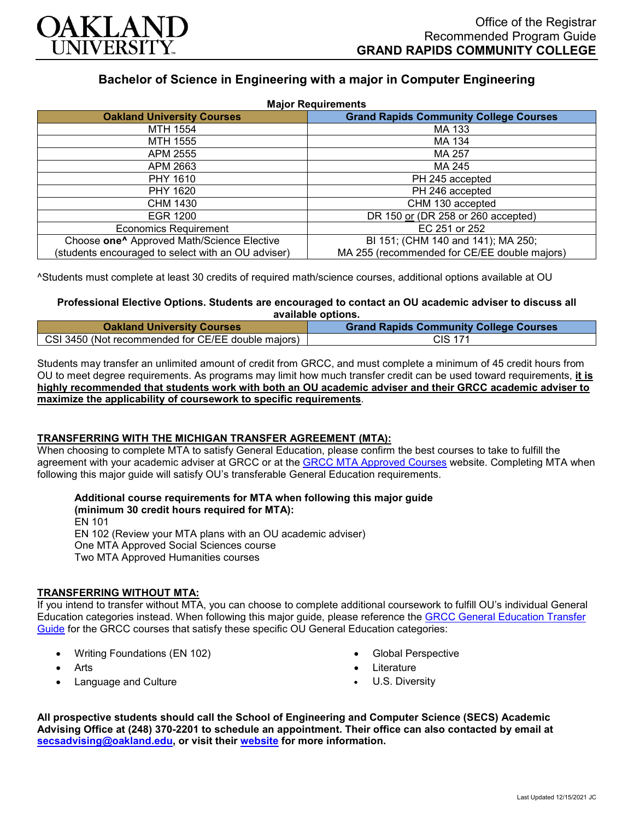

# **Bachelor of Science in Engineering with a major in Computer Engineering**

| <b>Major Requirements</b>                              |                                               |
|--------------------------------------------------------|-----------------------------------------------|
| <b>Oakland University Courses</b>                      | <b>Grand Rapids Community College Courses</b> |
| MTH 1554                                               | MA 133                                        |
| MTH 1555                                               | MA 134                                        |
| APM 2555                                               | MA 257                                        |
| APM 2663                                               | MA 245                                        |
| <b>PHY 1610</b>                                        | PH 245 accepted                               |
| PHY 1620                                               | PH 246 accepted                               |
| CHM 1430                                               | CHM 130 accepted                              |
| EGR 1200                                               | DR 150 or (DR 258 or 260 accepted)            |
| <b>Economics Requirement</b>                           | EC 251 or 252                                 |
| Choose one <sup>^</sup> Approved Math/Science Elective | BI 151; (CHM 140 and 141); MA 250;            |
| (students encouraged to select with an OU adviser)     | MA 255 (recommended for CE/EE double majors)  |

^Students must complete at least 30 credits of required math/science courses, additional options available at OU

# **Professional Elective Options. Students are encouraged to contact an OU academic adviser to discuss all available options.**

| <b>Oakland University Courses</b>                  | <b>Grand Rapids Community College Courses</b> |
|----------------------------------------------------|-----------------------------------------------|
| CSI 3450 (Not recommended for CE/EE double majors) | <b>CIS 171</b>                                |

Students may transfer an unlimited amount of credit from GRCC, and must complete a minimum of 45 credit hours from OU to meet degree requirements. As programs may limit how much transfer credit can be used toward requirements, **it is highly recommended that students work with both an OU academic adviser and their GRCC academic adviser to maximize the applicability of coursework to specific requirements**.

## **TRANSFERRING WITH THE MICHIGAN TRANSFER AGREEMENT (MTA):**

When choosing to complete MTA to satisfy General Education, please confirm the best courses to take to fulfill the agreement with your academic adviser at GRCC or at the [GRCC MTA Approved Courses](https://catalog.grcc.edu/content.php?catoid=47&navoid=3607) website. Completing MTA when following this major guide will satisfy OU's transferable General Education requirements.

#### **Additional course requirements for MTA when following this major guide (minimum 30 credit hours required for MTA):**

EN 101 EN 102 (Review your MTA plans with an OU academic adviser) One MTA Approved Social Sciences course Two MTA Approved Humanities courses

## **TRANSFERRING WITHOUT MTA:**

If you intend to transfer without MTA, you can choose to complete additional coursework to fulfill OU's individual General Education categories instead. When following this major guide, please reference the [GRCC General Education Transfer](https://www.oakland.edu/Assets/Oakland/program-guides/grand-rapids-community-college/university-general-education-requirements/Grand%20Rapids%20Gen%20Ed.pdf)  [Guide](https://www.oakland.edu/Assets/Oakland/program-guides/grand-rapids-community-college/university-general-education-requirements/Grand%20Rapids%20Gen%20Ed.pdf) for the GRCC courses that satisfy these specific OU General Education categories:

- Writing Foundations (EN 102)
- Arts
- Language and Culture
- Global Perspective
- **Literature**
- U.S. Diversity

**All prospective students should call the School of Engineering and Computer Science (SECS) Academic Advising Office at (248) 370-2201 to schedule an appointment. Their office can also contacted by email at [secsadvising@oakland.edu,](mailto:secsadvising@oakland.edu) or visit their [website](https://wwwp.oakland.edu/secs/advising/) for more information.**